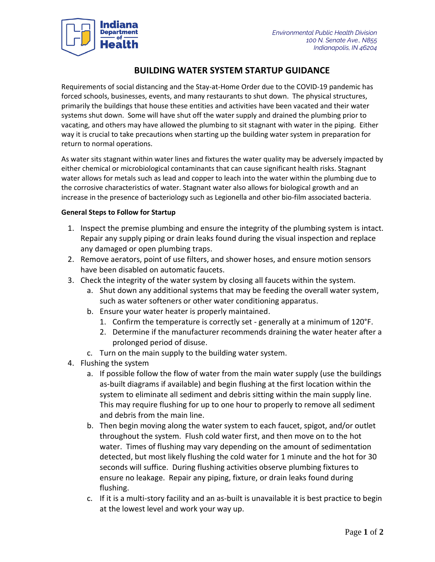

## **BUILDING WATER SYSTEM STARTUP GUIDANCE**

Requirements of social distancing and the Stay-at-Home Order due to the COVID-19 pandemic has forced schools, businesses, events, and many restaurants to shut down. The physical structures, primarily the buildings that house these entities and activities have been vacated and their water systems shut down. Some will have shut off the water supply and drained the plumbing prior to vacating, and others may have allowed the plumbing to sit stagnant with water in the piping. Either way it is crucial to take precautions when starting up the building water system in preparation for return to normal operations.

As water sits stagnant within water lines and fixtures the water quality may be adversely impacted by either chemical or microbiological contaminants that can cause significant health risks. Stagnant water allows for metals such as lead and copper to leach into the water within the plumbing due to the corrosive characteristics of water. Stagnant water also allows for biological growth and an increase in the presence of bacteriology such as Legionella and other bio-film associated bacteria.

## **General Steps to Follow for Startup**

- 1. Inspect the premise plumbing and ensure the integrity of the plumbing system is intact. Repair any supply piping or drain leaks found during the visual inspection and replace any damaged or open plumbing traps.
- 2. Remove aerators, point of use filters, and shower hoses, and ensure motion sensors have been disabled on automatic faucets.
- 3. Check the integrity of the water system by closing all faucets within the system.
	- a. Shut down any additional systems that may be feeding the overall water system, such as water softeners or other water conditioning apparatus.
	- b. Ensure your water heater is properly maintained.
		- 1. Confirm the temperature is correctly set generally at a minimum of 120°F.
		- 2. Determine if the manufacturer recommends draining the water heater after a prolonged period of disuse.
	- c. Turn on the main supply to the building water system.
- 4. Flushing the system
	- a. If possible follow the flow of water from the main water supply (use the buildings as-built diagrams if available) and begin flushing at the first location within the system to eliminate all sediment and debris sitting within the main supply line. This may require flushing for up to one hour to properly to remove all sediment and debris from the main line.
	- b. Then begin moving along the water system to each faucet, spigot, and/or outlet throughout the system. Flush cold water first, and then move on to the hot water. Times of flushing may vary depending on the amount of sedimentation detected, but most likely flushing the cold water for 1 minute and the hot for 30 seconds will suffice. During flushing activities observe plumbing fixtures to ensure no leakage. Repair any piping, fixture, or drain leaks found during flushing.
	- c. If it is a multi-story facility and an as-built is unavailable it is best practice to begin at the lowest level and work your way up.